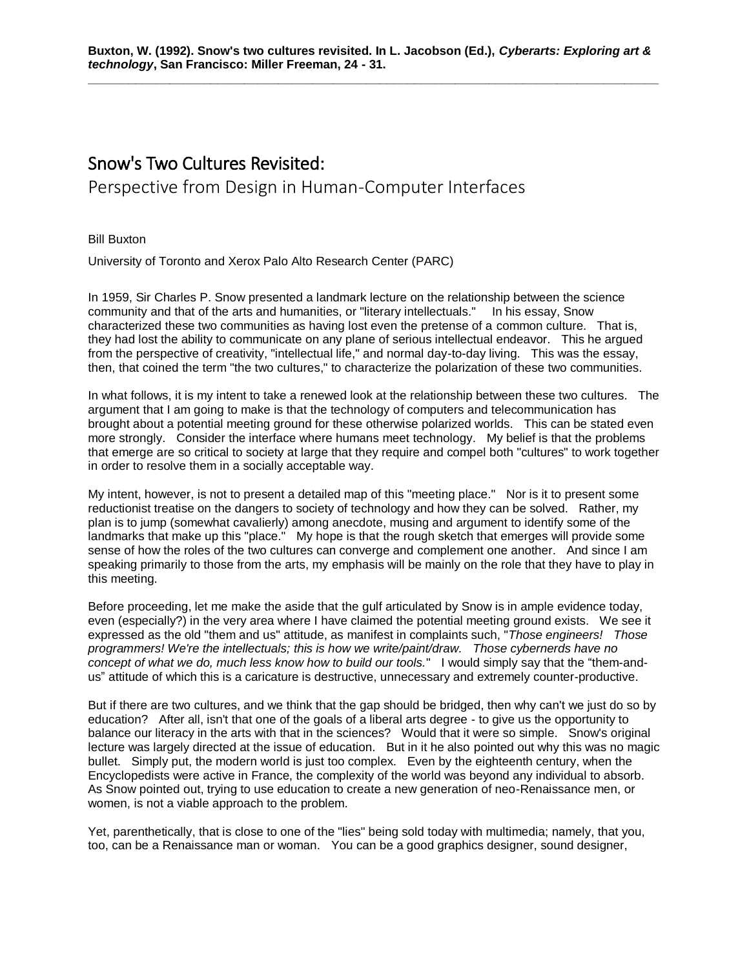## Snow's Two Cultures Revisited:

Perspective from Design in Human-Computer Interfaces

Bill Buxton

University of Toronto and Xerox Palo Alto Research Center (PARC)

In 1959, Sir Charles P. Snow presented a landmark lecture on the relationship between the science community and that of the arts and humanities, or "literary intellectuals." In his essay, Snow characterized these two communities as having lost even the pretense of a common culture. That is, they had lost the ability to communicate on any plane of serious intellectual endeavor. This he argued from the perspective of creativity, "intellectual life," and normal day-to-day living. This was the essay, then, that coined the term "the two cultures," to characterize the polarization of these two communities.

In what follows, it is my intent to take a renewed look at the relationship between these two cultures. The argument that I am going to make is that the technology of computers and telecommunication has brought about a potential meeting ground for these otherwise polarized worlds. This can be stated even more strongly. Consider the interface where humans meet technology. My belief is that the problems that emerge are so critical to society at large that they require and compel both "cultures" to work together in order to resolve them in a socially acceptable way.

My intent, however, is not to present a detailed map of this "meeting place." Nor is it to present some reductionist treatise on the dangers to society of technology and how they can be solved. Rather, my plan is to jump (somewhat cavalierly) among anecdote, musing and argument to identify some of the landmarks that make up this "place." My hope is that the rough sketch that emerges will provide some sense of how the roles of the two cultures can converge and complement one another. And since I am speaking primarily to those from the arts, my emphasis will be mainly on the role that they have to play in this meeting.

Before proceeding, let me make the aside that the gulf articulated by Snow is in ample evidence today, even (especially?) in the very area where I have claimed the potential meeting ground exists. We see it expressed as the old "them and us" attitude, as manifest in complaints such, "*Those engineers! Those programmers! We're the intellectuals; this is how we write/paint/draw. Those cybernerds have no concept of what we do, much less know how to build our tools.*" I would simply say that the "them-andus" attitude of which this is a caricature is destructive, unnecessary and extremely counter-productive.

But if there are two cultures, and we think that the gap should be bridged, then why can't we just do so by education? After all, isn't that one of the goals of a liberal arts degree - to give us the opportunity to balance our literacy in the arts with that in the sciences? Would that it were so simple. Snow's original lecture was largely directed at the issue of education. But in it he also pointed out why this was no magic bullet. Simply put, the modern world is just too complex. Even by the eighteenth century, when the Encyclopedists were active in France, the complexity of the world was beyond any individual to absorb. As Snow pointed out, trying to use education to create a new generation of neo-Renaissance men, or women, is not a viable approach to the problem.

Yet, parenthetically, that is close to one of the "lies" being sold today with multimedia; namely, that you, too, can be a Renaissance man or woman. You can be a good graphics designer, sound designer,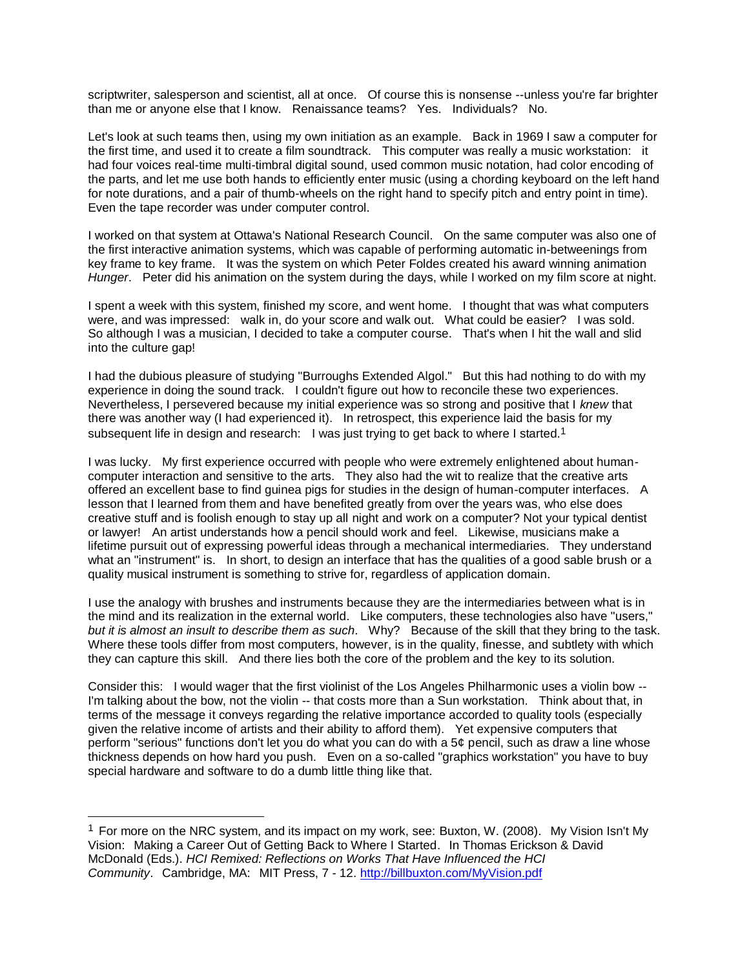scriptwriter, salesperson and scientist, all at once. Of course this is nonsense --unless you're far brighter than me or anyone else that I know. Renaissance teams? Yes. Individuals? No.

Let's look at such teams then, using my own initiation as an example. Back in 1969 I saw a computer for the first time, and used it to create a film soundtrack. This computer was really a music workstation: it had four voices real-time multi-timbral digital sound, used common music notation, had color encoding of the parts, and let me use both hands to efficiently enter music (using a chording keyboard on the left hand for note durations, and a pair of thumb-wheels on the right hand to specify pitch and entry point in time). Even the tape recorder was under computer control.

I worked on that system at Ottawa's National Research Council. On the same computer was also one of the first interactive animation systems, which was capable of performing automatic in-betweenings from key frame to key frame. It was the system on which Peter Foldes created his award winning animation *Hunger*. Peter did his animation on the system during the days, while I worked on my film score at night.

I spent a week with this system, finished my score, and went home. I thought that was what computers were, and was impressed: walk in, do your score and walk out. What could be easier? I was sold. So although I was a musician, I decided to take a computer course. That's when I hit the wall and slid into the culture gap!

I had the dubious pleasure of studying "Burroughs Extended Algol." But this had nothing to do with my experience in doing the sound track. I couldn't figure out how to reconcile these two experiences. Nevertheless, I persevered because my initial experience was so strong and positive that I *knew* that there was another way (I had experienced it). In retrospect, this experience laid the basis for my subsequent life in design and research: I was just trying to get back to where I started.<sup>1</sup>

I was lucky. My first experience occurred with people who were extremely enlightened about humancomputer interaction and sensitive to the arts. They also had the wit to realize that the creative arts offered an excellent base to find guinea pigs for studies in the design of human-computer interfaces. A lesson that I learned from them and have benefited greatly from over the years was, who else does creative stuff and is foolish enough to stay up all night and work on a computer? Not your typical dentist or lawyer! An artist understands how a pencil should work and feel. Likewise, musicians make a lifetime pursuit out of expressing powerful ideas through a mechanical intermediaries. They understand what an "instrument" is. In short, to design an interface that has the qualities of a good sable brush or a quality musical instrument is something to strive for, regardless of application domain.

I use the analogy with brushes and instruments because they are the intermediaries between what is in the mind and its realization in the external world. Like computers, these technologies also have "users," *but it is almost an insult to describe them as such*. Why? Because of the skill that they bring to the task. Where these tools differ from most computers, however, is in the quality, finesse, and subtlety with which they can capture this skill. And there lies both the core of the problem and the key to its solution.

Consider this: I would wager that the first violinist of the Los Angeles Philharmonic uses a violin bow -- I'm talking about the bow, not the violin -- that costs more than a Sun workstation. Think about that, in terms of the message it conveys regarding the relative importance accorded to quality tools (especially given the relative income of artists and their ability to afford them). Yet expensive computers that perform "serious" functions don't let you do what you can do with a 5¢ pencil, such as draw a line whose thickness depends on how hard you push. Even on a so-called "graphics workstation" you have to buy special hardware and software to do a dumb little thing like that.

l

 $1$  For more on the NRC system, and its impact on my work, see: Buxton, W. (2008). My Vision Isn't My Vision: Making a Career Out of Getting Back to Where I Started. In Thomas Erickson & David McDonald (Eds.). *HCI Remixed: Reflections on Works That Have Influenced the HCI Community*. Cambridge, MA: MIT Press, 7 - 12. <http://billbuxton.com/MyVision.pdf>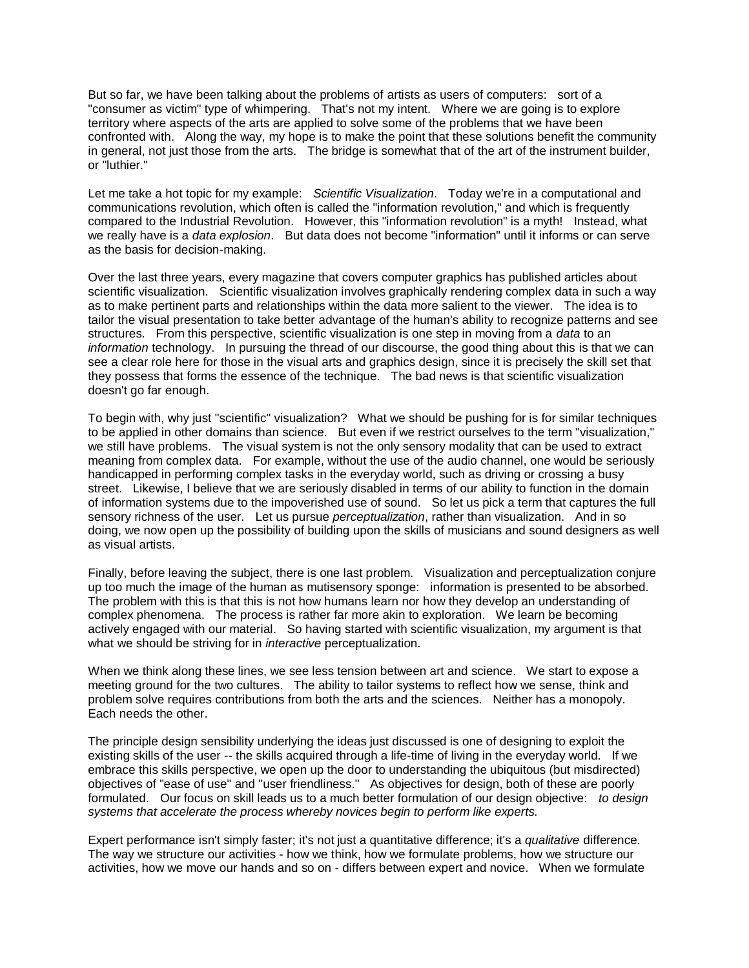But so far, we have been talking about the problems of artists as users of computers: sort of a "consumer as victim" type of whimpering. That's not my intent. Where we are going is to explore territory where aspects of the arts are applied to solve some of the problems that we have been confronted with. Along the way, my hope is to make the point that these solutions benefit the community in general, not just those from the arts. The bridge is somewhat that of the art of the instrument builder, or "luthier."

Let me take a hot topic for my example: *Scientific Visualization*. Today we're in a computational and communications revolution, which often is called the "information revolution," and which is frequently compared to the Industrial Revolution. However, this "information revolution" is a myth! Instead, what we really have is a *data explosion*. But data does not become "information" until it informs or can serve as the basis for decision-making.

Over the last three years, every magazine that covers computer graphics has published articles about scientific visualization. Scientific visualization involves graphically rendering complex data in such a way as to make pertinent parts and relationships within the data more salient to the viewer. The idea is to tailor the visual presentation to take better advantage of the human's ability to recognize patterns and see structures. From this perspective, scientific visualization is one step in moving from a *data* to an *information* technology. In pursuing the thread of our discourse, the good thing about this is that we can see a clear role here for those in the visual arts and graphics design, since it is precisely the skill set that they possess that forms the essence of the technique. The bad news is that scientific visualization doesn't go far enough.

To begin with, why just "scientific" visualization? What we should be pushing for is for similar techniques to be applied in other domains than science. But even if we restrict ourselves to the term "visualization," we still have problems. The visual system is not the only sensory modality that can be used to extract meaning from complex data. For example, without the use of the audio channel, one would be seriously handicapped in performing complex tasks in the everyday world, such as driving or crossing a busy street. Likewise, I believe that we are seriously disabled in terms of our ability to function in the domain of information systems due to the impoverished use of sound. So let us pick a term that captures the full sensory richness of the user. Let us pursue *perceptualization*, rather than visualization. And in so doing, we now open up the possibility of building upon the skills of musicians and sound designers as well as visual artists.

Finally, before leaving the subject, there is one last problem. Visualization and perceptualization conjure up too much the image of the human as mutisensory sponge: information is presented to be absorbed. The problem with this is that this is not how humans learn nor how they develop an understanding of complex phenomena. The process is rather far more akin to exploration. We learn be becoming actively engaged with our material. So having started with scientific visualization, my argument is that what we should be striving for in *interactive* perceptualization.

When we think along these lines, we see less tension between art and science. We start to expose a meeting ground for the two cultures. The ability to tailor systems to reflect how we sense, think and problem solve requires contributions from both the arts and the sciences. Neither has a monopoly. Each needs the other.

The principle design sensibility underlying the ideas just discussed is one of designing to exploit the existing skills of the user -- the skills acquired through a life-time of living in the everyday world. If we embrace this skills perspective, we open up the door to understanding the ubiquitous (but misdirected) objectives of "ease of use" and "user friendliness." As objectives for design, both of these are poorly formulated. Our focus on skill leads us to a much better formulation of our design objective: *to design systems that accelerate the process whereby novices begin to perform like experts.*

Expert performance isn't simply faster; it's not just a quantitative difference; it's a *qualitative* difference. The way we structure our activities - how we think, how we formulate problems, how we structure our activities, how we move our hands and so on - differs between expert and novice. When we formulate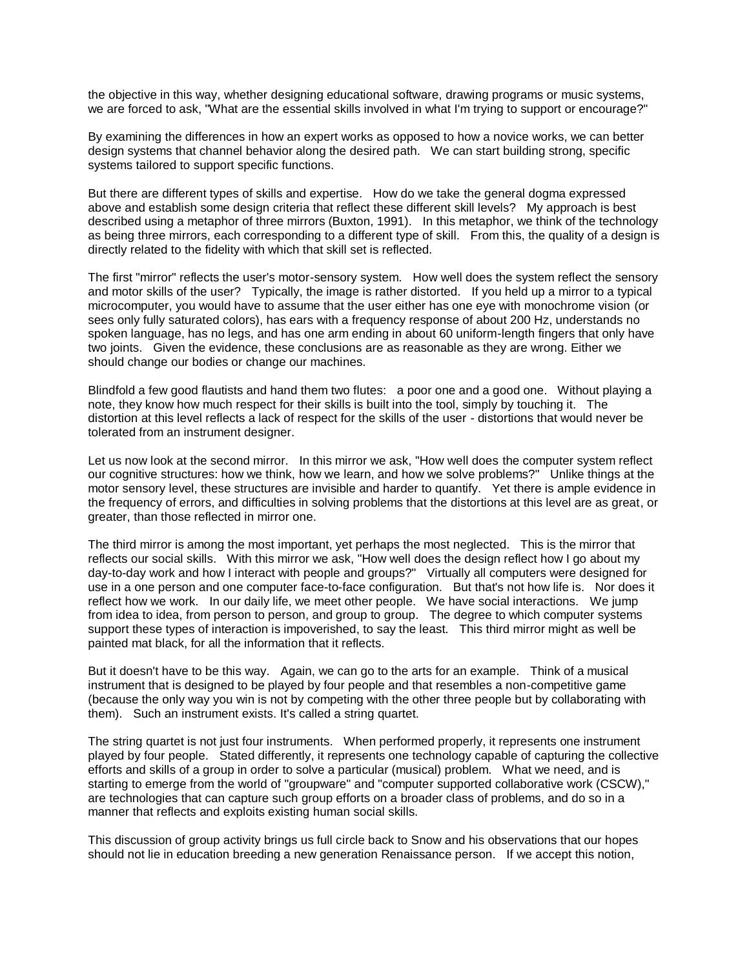the objective in this way, whether designing educational software, drawing programs or music systems, we are forced to ask, "What are the essential skills involved in what I'm trying to support or encourage?"

By examining the differences in how an expert works as opposed to how a novice works, we can better design systems that channel behavior along the desired path. We can start building strong, specific systems tailored to support specific functions.

But there are different types of skills and expertise. How do we take the general dogma expressed above and establish some design criteria that reflect these different skill levels? My approach is best described using a metaphor of three mirrors (Buxton, 1991). In this metaphor, we think of the technology as being three mirrors, each corresponding to a different type of skill. From this, the quality of a design is directly related to the fidelity with which that skill set is reflected.

The first "mirror" reflects the user's motor-sensory system. How well does the system reflect the sensory and motor skills of the user? Typically, the image is rather distorted. If you held up a mirror to a typical microcomputer, you would have to assume that the user either has one eye with monochrome vision (or sees only fully saturated colors), has ears with a frequency response of about 200 Hz, understands no spoken language, has no legs, and has one arm ending in about 60 uniform-length fingers that only have two joints. Given the evidence, these conclusions are as reasonable as they are wrong. Either we should change our bodies or change our machines.

Blindfold a few good flautists and hand them two flutes: a poor one and a good one. Without playing a note, they know how much respect for their skills is built into the tool, simply by touching it. The distortion at this level reflects a lack of respect for the skills of the user - distortions that would never be tolerated from an instrument designer.

Let us now look at the second mirror. In this mirror we ask, "How well does the computer system reflect our cognitive structures: how we think, how we learn, and how we solve problems?" Unlike things at the motor sensory level, these structures are invisible and harder to quantify. Yet there is ample evidence in the frequency of errors, and difficulties in solving problems that the distortions at this level are as great, or greater, than those reflected in mirror one.

The third mirror is among the most important, yet perhaps the most neglected. This is the mirror that reflects our social skills. With this mirror we ask, "How well does the design reflect how I go about my day-to-day work and how I interact with people and groups?" Virtually all computers were designed for use in a one person and one computer face-to-face configuration. But that's not how life is. Nor does it reflect how we work. In our daily life, we meet other people. We have social interactions. We jump from idea to idea, from person to person, and group to group. The degree to which computer systems support these types of interaction is impoverished, to say the least. This third mirror might as well be painted mat black, for all the information that it reflects.

But it doesn't have to be this way. Again, we can go to the arts for an example. Think of a musical instrument that is designed to be played by four people and that resembles a non-competitive game (because the only way you win is not by competing with the other three people but by collaborating with them). Such an instrument exists. It's called a string quartet.

The string quartet is not just four instruments. When performed properly, it represents one instrument played by four people. Stated differently, it represents one technology capable of capturing the collective efforts and skills of a group in order to solve a particular (musical) problem. What we need, and is starting to emerge from the world of "groupware" and "computer supported collaborative work (CSCW)," are technologies that can capture such group efforts on a broader class of problems, and do so in a manner that reflects and exploits existing human social skills.

This discussion of group activity brings us full circle back to Snow and his observations that our hopes should not lie in education breeding a new generation Renaissance person. If we accept this notion,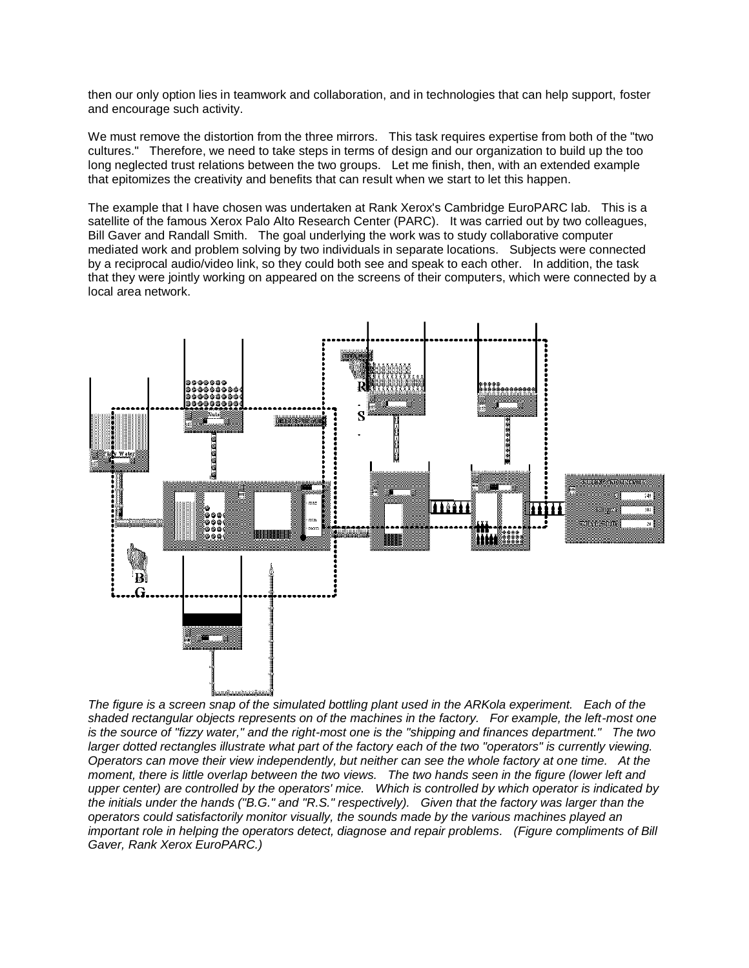then our only option lies in teamwork and collaboration, and in technologies that can help support, foster and encourage such activity.

We must remove the distortion from the three mirrors. This task requires expertise from both of the "two cultures." Therefore, we need to take steps in terms of design and our organization to build up the too long neglected trust relations between the two groups. Let me finish, then, with an extended example that epitomizes the creativity and benefits that can result when we start to let this happen.

The example that I have chosen was undertaken at Rank Xerox's Cambridge EuroPARC lab. This is a satellite of the famous Xerox Palo Alto Research Center (PARC). It was carried out by two colleagues, Bill Gaver and Randall Smith. The goal underlying the work was to study collaborative computer mediated work and problem solving by two individuals in separate locations. Subjects were connected by a reciprocal audio/video link, so they could both see and speak to each other. In addition, the task that they were jointly working on appeared on the screens of their computers, which were connected by a local area network.



*The figure is a screen snap of the simulated bottling plant used in the ARKola experiment. Each of the shaded rectangular objects represents on of the machines in the factory. For example, the left-most one is the source of "fizzy water," and the right-most one is the "shipping and finances department." The two larger dotted rectangles illustrate what part of the factory each of the two "operators" is currently viewing. Operators can move their view independently, but neither can see the whole factory at one time. At the moment, there is little overlap between the two views. The two hands seen in the figure (lower left and upper center) are controlled by the operators' mice. Which is controlled by which operator is indicated by the initials under the hands ("B.G." and "R.S." respectively). Given that the factory was larger than the operators could satisfactorily monitor visually, the sounds made by the various machines played an important role in helping the operators detect, diagnose and repair problems. (Figure compliments of Bill Gaver, Rank Xerox EuroPARC.)*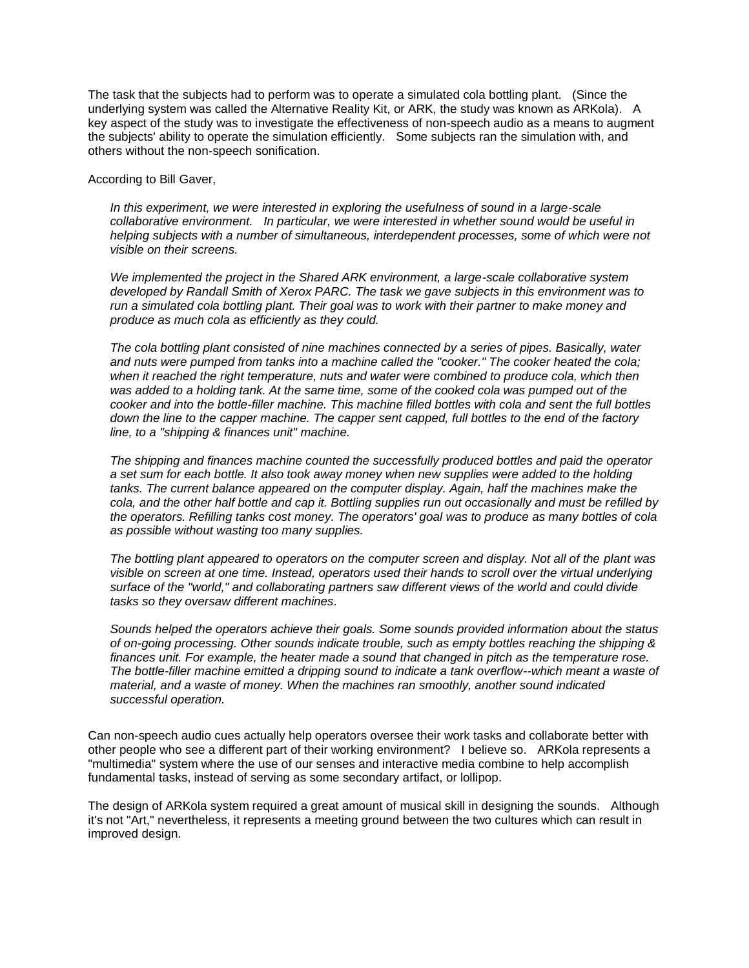The task that the subjects had to perform was to operate a simulated cola bottling plant. (Since the underlying system was called the Alternative Reality Kit, or ARK, the study was known as ARKola). A key aspect of the study was to investigate the effectiveness of non-speech audio as a means to augment the subjects' ability to operate the simulation efficiently. Some subjects ran the simulation with, and others without the non-speech sonification.

According to Bill Gaver,

*In this experiment, we were interested in exploring the usefulness of sound in a large-scale collaborative environment. In particular, we were interested in whether sound would be useful in helping subjects with a number of simultaneous, interdependent processes, some of which were not visible on their screens.* 

*We implemented the project in the Shared ARK environment, a large-scale collaborative system developed by Randall Smith of Xerox PARC. The task we gave subjects in this environment was to run a simulated cola bottling plant. Their goal was to work with their partner to make money and produce as much cola as efficiently as they could.*

*The cola bottling plant consisted of nine machines connected by a series of pipes. Basically, water and nuts were pumped from tanks into a machine called the "cooker." The cooker heated the cola; when it reached the right temperature, nuts and water were combined to produce cola, which then was added to a holding tank. At the same time, some of the cooked cola was pumped out of the cooker and into the bottle-filler machine. This machine filled bottles with cola and sent the full bottles down the line to the capper machine. The capper sent capped, full bottles to the end of the factory line, to a "shipping & finances unit" machine.*

*The shipping and finances machine counted the successfully produced bottles and paid the operator a set sum for each bottle. It also took away money when new supplies were added to the holding tanks. The current balance appeared on the computer display. Again, half the machines make the cola, and the other half bottle and cap it. Bottling supplies run out occasionally and must be refilled by the operators. Refilling tanks cost money. The operators' goal was to produce as many bottles of cola as possible without wasting too many supplies.*

*The bottling plant appeared to operators on the computer screen and display. Not all of the plant was visible on screen at one time. Instead, operators used their hands to scroll over the virtual underlying surface of the "world," and collaborating partners saw different views of the world and could divide tasks so they oversaw different machines.* 

*Sounds helped the operators achieve their goals. Some sounds provided information about the status of on-going processing. Other sounds indicate trouble, such as empty bottles reaching the shipping & finances unit. For example, the heater made a sound that changed in pitch as the temperature rose. The bottle-filler machine emitted a dripping sound to indicate a tank overflow--which meant a waste of material, and a waste of money. When the machines ran smoothly, another sound indicated successful operation.* 

Can non-speech audio cues actually help operators oversee their work tasks and collaborate better with other people who see a different part of their working environment? I believe so. ARKola represents a "multimedia" system where the use of our senses and interactive media combine to help accomplish fundamental tasks, instead of serving as some secondary artifact, or lollipop.

The design of ARKola system required a great amount of musical skill in designing the sounds. Although it's not "Art," nevertheless, it represents a meeting ground between the two cultures which can result in improved design.